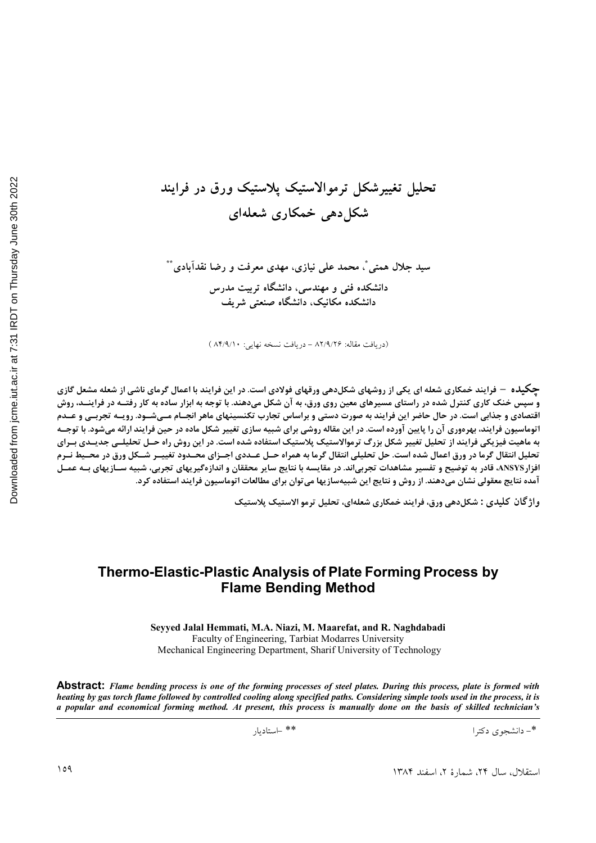# تحلیل تغییرشکل ترموالاستیک پلاستیک ورق در فرایند شکل دھی خمکاری شعلهای

سید جلال همتی ٌ، محمد علمی نیازی، مهدی معرفت و رضا نقدآبادی ٌ ٌ دانشکده فنی و مهندسی، دانشگاه تربیت مدرس دانشکده مکانیک، دانشگاه صنعتی شریف

(دریافت مقاله: ۸۲/۹/۲۶ - دریافت نسخه نهایی: ۸۴/۹/۱۰)

**چکیده – فرایند خمکاری شعله ای یکی از روشهای شکل**دهی ورقهای فولادی است. در این فرایند با اعمال گرمای ناشی از شعله مشعل گازی و سپس خنک کاری کنترل شده در راستای مسیرهای معین روی ورق، به آن شکل میدهند. با توجه به ابزار ساده به کار رفتــه در فراینــد، روش اقتصادی و جذابی است. در حال حاضر این فرایند به صورت دستی و براساس تجارب تکنسینهای ماهر انجـام مـیشــود. رویــه تجربــی و عــدم اتوماسیون فرایند، بهرهوری آن را پایین آورده است. در این مقاله روشی برای شبیه سازی تغییر شکل ماده در حین فرایند ارائه میشود. با توجــه به ماهیت فیزیکی فرایند از تحلیل تغییر شکل بزرگ ترموالاستیک پلاستیک استفاده شده است. در این روش راه حـل تحلیلــی جدیــدی بــرای تحلیل انتقال گرما در ورق اعمال شده است. حل تحلیلی انتقال گرما به همراه حــل عــددی اجــزای محــدود تغییــر شــكل ورق در محــیط نــرم افزار ANSYS، قادر به توضیح و تفسیر مشاهدات تجربیاند. در مقایسه با نتایج سایر محققان و اندازهگیریهای تجربی، شبیه سـازیهای بــه عمــل آمده نتایج معقولی نشان میدهند. از روش و نتایج این شبیهسازیها می توان برای مطالعات اتوماسیون فرایند استفاده کرد.

واژگان کلیدی : شکل دهی ورق، فرایند خمکاری شعلهای، تحلیل ترمو الاستیک پلاستیک

### **Thermo-Elastic-Plastic Analysis of Plate Forming Process by Flame Bending Method**

Seyyed Jalal Hemmati, M.A. Niazi, M. Maarefat, and R. Naghdabadi Faculty of Engineering, Tarbiat Modarres University Mechanical Engineering Department, Sharif University of Technology

**Abstract:** Flame bending process is one of the forming processes of steel plates. During this process, plate is formed with heating by gas torch flame followed by controlled cooling along specified paths. Considering simple tools used in the process, it is a popular and economical forming method. At present, this process is manually done on the basis of skilled technician's

\*\* -استاديار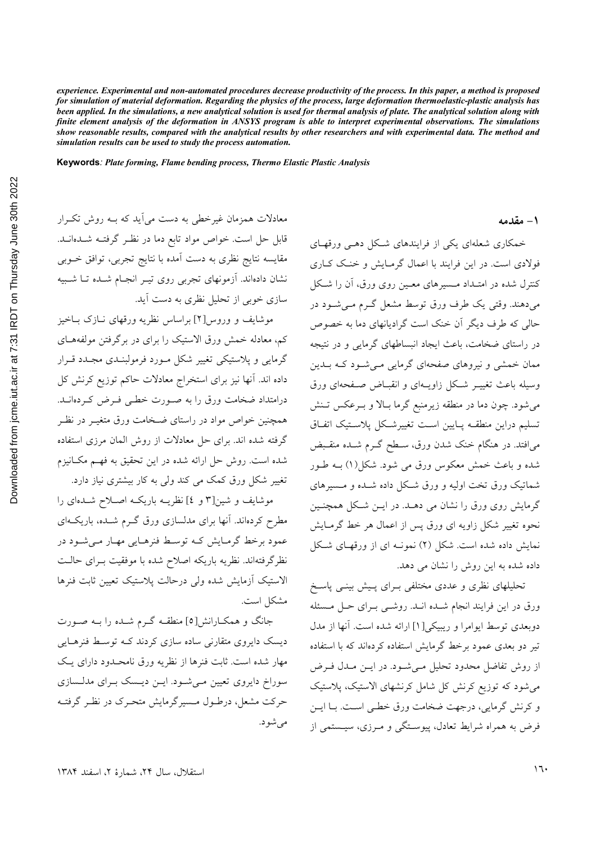experience. Experimental and non-automated procedures decrease productivity of the process. In this paper, a method is proposed for simulation of material deformation. Regarding the physics of the process, large deformation thermoelastic-plastic analysis has been applied. In the simulations, a new analytical solution is used for thermal analysis of plate. The analytical solution along with finite element analysis of the deformation in ANSYS program is able to interpret experimental observations. The simulations show reasonable results, compared with the analytical results by other researchers and with experimental data. The method and simulation results can be used to study the process automation.

Keywords: Plate forming, Flame bending process, Thermo Elastic Plastic Analysis

معادلات همزمان غیرخطی به دست می آید که بـه روش تکـرار قابل حل است. خواص مواد تابع دما در نظـر گرفتـه شــدهانــد. مقایسه نتایج نظری به دست آمده با نتایج تجربی، توافق خـوبی نشان دادهاند. آزمونهای تجربی روی تیـر انجـام شـده تـا شـبیه سازی خوبی از تحلیل نظری به دست آید.

موشایف و وروس[۲] براساس نظریه ورقهای نـازک بــاخیز کم، معادله خمش ورق الاستیک را برای در برگرفتن مولفههـای گرمایی و پلاستیکی تغییر شکل مورد فرمولبنـدی مجـدد قــرار داده اند. آنها نیز برای استخراج معادلات حاکم توزیع کرنش کل درامتداد ضخامت ورق را به صورت خطبي فـرض كـردهانــد. همچنین خواص مواد در راستای ضـخامت ورق متغیـر در نظـر گرفته شده اند. برای حل معادلات از روش المان مرزی استفاده شده است. روش حل ارائه شده در این تحقیق به فهـم مکـانیزم تغییر شکل ورق کمک می کند ولی به کار بیشتری نیاز دارد.

موشایف و شین[۳ و ٤] نظریـه باریکـه اصلاح شـدهای را مطرح کردهاند. آنها برای مدلسازی ورق گـرم شـده، باریکـهای عمود برخط گرمایش کـه توسـط فنرهـایی مهـار مـی شـود در نظرگرفتهاند. نظریه باریکه اصلاح شده با موفقیت بـرای حالـت الاستيك آزمايش شده ولى درحالت پلاستيك تعيين ثابت فنرها مشكل است.

جانگ و همکـارانش[٥] منطقـه گــرم شــده را بــه صــورت دیسک دایروی متقارنی ساده سازی کردند کـه توسـط فنرهـایی مهار شده است. ثابت فنرها از نظریه ورق نامحـدود دارای یـک سوراخ دایروی تعیین مییشود. ایسن دیسک برای مدلسازی حرکت مشعل، درطـول مـسیرگرمایش متحـرک در نظـر گرفتـه مې شو د. ۱ – مقدمه

خمکاری شعلهای یکی از فرایندهای شکل دهبی ورقهبای فولادی است. در این فرایند با اعمال گرمـایش و خنـک کــاری کنترل شده در امتـداد مـسیرهای معـین روی ورق، آن را شـکل میدهند. وقتی یک طرف ورق توسط مشعل گـرم مـیشـود در حالی که طرف دیگر آن خنک است گرادیانهای دما به خصوص در راستای ضخامت، باعث ایجاد انبساطهای گرمایی و در نتیجه ممان خمشی و نیروهای صفحهای گرمایی مـیشـود کـه بــدین وسیله باعث تغییـر شـکل زاویـهای و انقبـاض صـفحهای ورق می شود. چون دما در منطقه زیرمنبع گرما بـالا و بـرعکس تـنش تسليم دراين منطقـه پـايين اسـت تغييرشـكل پلاسـتيک اتفـاق می|فتد. در هنگام خنک شدن ورق، سـطح گـرم شــده منقــبض شده و باعث خمش معکوس ورق می شود. شکل(۱) بــه طــور شماتیک ورق تخت اولیه و ورق شکل داده شــده و مــسیرهای گرمایش روی ورق را نشان می دهــد. در ایــن شــکل همچنــین نحوه تغییر شکل زاویه ای ورق پس از اعمال هر خط گرمـایش نمایش داده شده است. شکل (۲) نمونـه ای از ورقهـای شـکل داده شده به این روش را نشان می دهد.

تحلیلهای نظری و عددی مختلفی بـرای پـیش بینـی پاسـخ ورق در این فرایند انجام شـده انـد. روشـبی بـرای حـل مـسئله دوبعدي توسط ايوامرا و ريبيكي[١] ارائه شده است. آنها از مدل تیر دو بعدی عمود برخط گرمایش استفاده کردهاند که با استفاده از روش تفاضل محدود تحلیل مے شـود. در ایــن مــدل فــرض می شود که توزیع کرنش کل شامل کرنشهای الاستیک، پلاستیک و کرنش گرمایی، درجهت ضخامت ورق خطبی است. بـا ایـن فرض به همراه شرایط تعادل، پیوستگی و مرزی، سیستمی از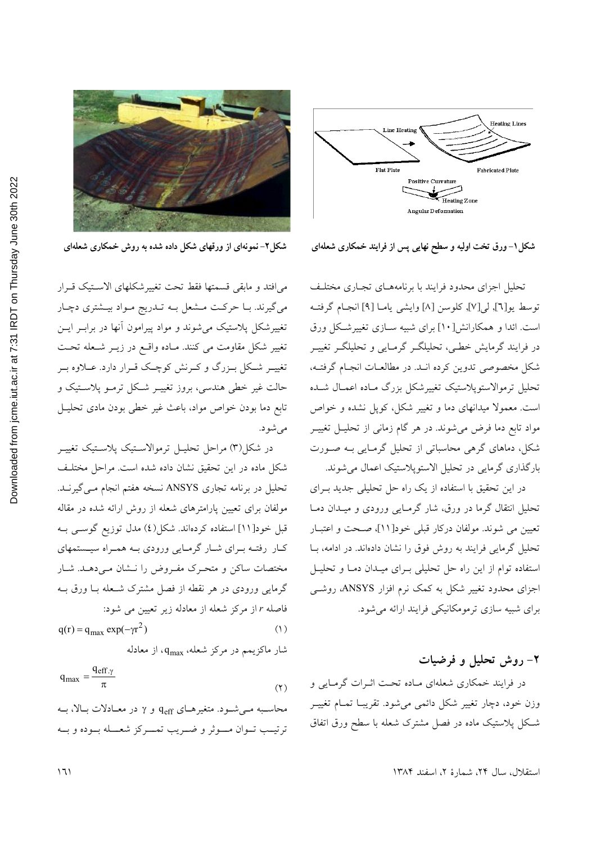

شکل۱– ورق تخت اولیه و سطح نهایی پس از فرایند خمکاری شعلهای

تحلیل اجزای محدود فرایند با برنامههـای تجـاری مختلـف توسط يو[٦], لي[٧], كلوسن [٨] وايشي يامـا [٩] انجـام گرفتـه است. ائدا و همکارانش[۱۰] برای شبیه سـازی تغییرشـکل ورق در فرایند گرمایش خطبی، تحلیلگ گرمایی و تحلیلگ تغییـر شکل مخصوصی تدوین کرده انـد. در مطالعـات انجـام گرفتـه، تحليل ترموالاستوپلاستيک تغييرشکل بزرگ مـاده اعمـال شــده است. معمولا میدانهای دما و تغییر شکل، کوپل نشده و خواص مواد تابع دما فرض می شوند. در هر گام زمانی از تحلیـل تغییـر شکل، دماهای گرهی محاسباتی از تحلیل گرمـایی بـه صـورت بارگذاری گرمایی در تحلیل الاستوپلاستیک اعمال می شوند.

در این تحقیق با استفاده از یک راه حل تحلیلی جدید بـرای تحلیل انتقال گرما در ورق، شار گرمـایی ورودی و میـدان دمـا تعیین می شوند. مولفان درکار قبلی خود[۱۱]، صحت و اعتبـار تحلیل گرمایی فرایند به روش فوق را نشان دادهاند. در ادامه، بــا استفاده توام از این راه حل تحلیلی بـرای میـدان دمـا و تحلیـل اجزای محدود تغییر شکل به کمک نرم افزار ANSYS، روشبی برای شبیه سازی ترمومکانیکی فرایند ارائه می شود.

#### ۲- روش تحلیل و فرضیات

در فرایند خمکاری شعلهای مـاده تحـت اثــرات گرمـایی و وزن خود، دچار تغییر شکل دائمی می شود. تقریبـا تمـام تغییـر شکل پلاستیک ماده در فصل مشترک شعله با سطح ورق اتفاق



شکل۲-نمونهای از ورقهای شکل داده شده به روش خمکاری شعلهای

مى افتد و مابقى قسمتها فقط تحت تغييرشكلهاى الاستيك قـرار میگیرند. بـا حرکـت مـشعل بـه تــدریج مـواد بیــشتری دچـار تغییرشکل پلاستیک میشوند و مواد پیرامون آنها در برابـر ایــن تغییر شکل مقاومت می کنند. مـاده واقـع در زیــر شــعله تحـت تغییـر شـكل بـزرگ و كـرنش كوچـك قـرار دارد. عــلاوه بـر حالت غیر خطی هندسی، بروز تغییـر شـکل ترمـو پلاسـتیک و تابع دما بودن خواص مواد، باعث غیر خطی بودن مادی تحلیـل مىشود.

در شکل(۳) مراحل تحلیـل ترموالاسـتیک پلاسـتیک تغییـر شکل ماده در این تحقیق نشان داده شده است. مراحل مختلف تحلیل در برنامه تجاری ANSYS نسخه هفتم انجام مـی گیرنـد. مولفان برای تعیین پارامترهای شعله از روش ارائه شده در مقاله قبل خود[۱۱] استفاده کردهاند. شکل(٤) مدل توزیع گوســی بــه کار رفتـه بـراي شـار گرمـايي ورودي بـه همـراه سيـستمهاي مختصات ساکن و متحرک مفـروض را نــشان مـی،دهــد. شــار گرمایی ورودی در هر نقطه از فصل مشترک شـعله بــا ورق بــه فاصله r از مرکز شعله از معادله زیر تعیین می شود:

$$
q(r) = q_{\text{max}} \exp(-\gamma r^2)
$$
 (1)

شار ماکزیمم در مرکز شعله، q<sub>max</sub>، از معادله

$$
q_{\text{max}} = \frac{q_{\text{eff}}\gamma}{\pi} \tag{7}
$$

محاسبه مـیشـود. متغیرهـای  $q_{\rm eff}$  و  $\gamma$  در معـادلات بـالا، بــه ترتيب تبوان مسوثر و ضيريب تمييركز شعبله بسوده و بسه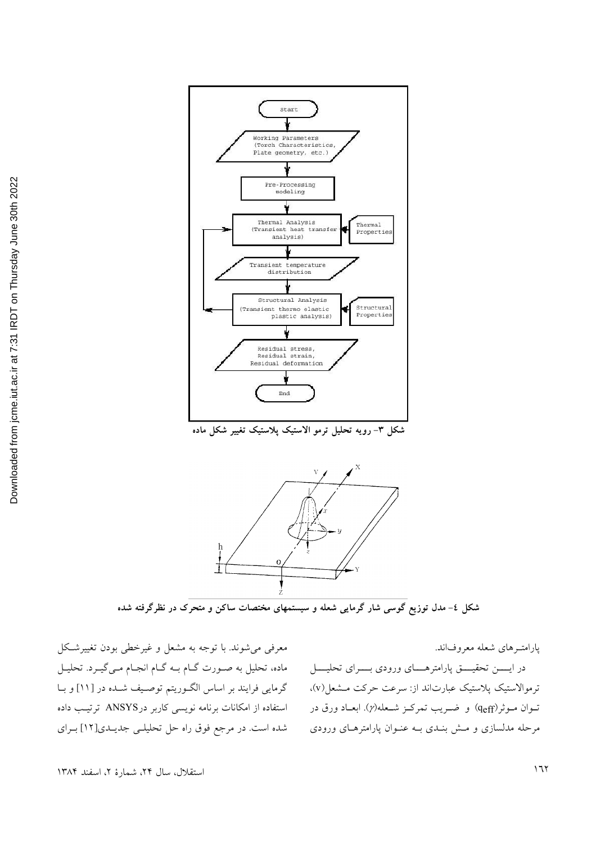



شکل ٤– مدل توزیع گوسی شار گرمایی شعله و سیستمهای مختصات ساکن و متحرک در نظرگرفته شده

معرفی می شوند. با توجه به مشعل و غیرخطی بودن تغییرشکل ماده، تحلیل به صورت گـام بـه گـام انجـام مـي گيـرد. تحليـل گرمایی فرایند بر اساس الگوریتم توصیف شده در [۱۱] و با استفاده از امکانات برنامه نویسی کاربر در ANSYS ترتیب داده شده است. در مرجع فوق راه حل تحلیلی جدیـدی[۱۲] بـرای

يارامتـرهاي شعله معروفاند. در ایســن تحقیــــق پارامترهـــــای ورودی بـــــرای تحلیــــل ترموالاستيک پلاستيک عبارتاند از: سرعت حرکت مـشعل(v)، تــوان مــوثر(qeff) و ضــريب تمركــز شــعله(y). ابعــاد ورق در مرحله مدلسازی و مــش بنــدی بــه عنــوان پارامترهــای ورودی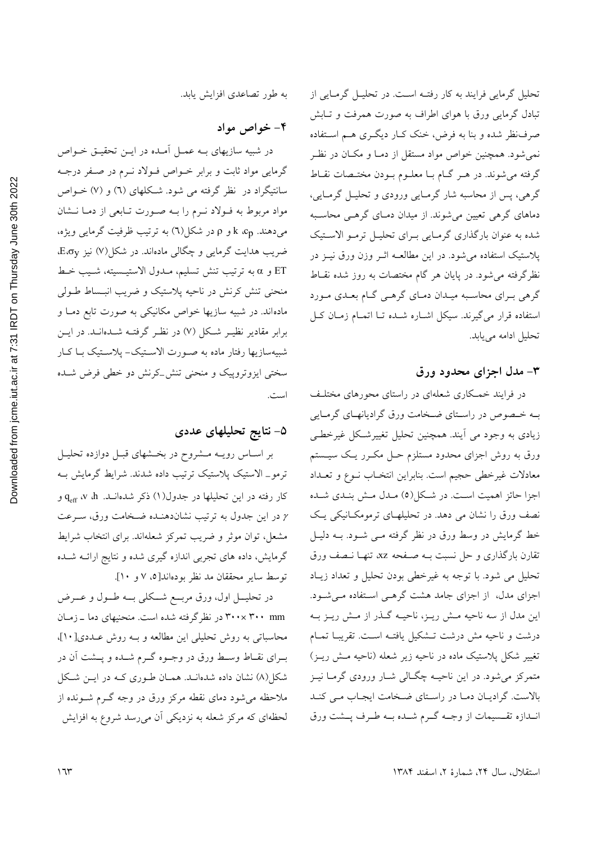تحلیل گرمایی فرایند به کار رفتـه اسـت. در تحلیـل گرمـایی از تبادل گرمایی ورق با هوای اطراف به صورت همرفت و تـابش صرفنظر شده و بنا به فرض، خنک کـار دیگـری هـم اسـتفاده نمی شود. همچنین خواص مواد مستقل از دمـا و مکـان در نظـر گرفته میشوند. در هـر گــام بــا معلــوم بــودن مختــصات نقــاط گرهی، پس از محاسبه شار گرمـایی ورودی و تحلیـل گرمـایی، دماهای گرهی تعیین می شوند. از میدان دمـای گرهـی محاسـبه شده به عنوان بارگذاری گرمایی بـرای تحلیـل ترمـو الاسـتیک پلاستیک استفاده میشود. در این مطالعـه اثــر وزن ورق نیــز در نظرگرفته می شود. در پایان هر گام مختصات به روز شده نقـاط گرهی بـرای محاسـبه میـدان دمـای گرهـی گـام بعـدی مـورد استفاده قرار می گیرند. سیکل اشـاره شـده تـا اتمـام زمـان کـل تحليل ادامه مي يابد.

#### ۳- مدل اجزای محدود ورق

در فرایند خمکاری شعلهای در راستای محورهای مختلف بـه خـصوص در راسـتاي ضـخامت ورق گراديانهـاي گرمـايي زیادی به وجود می آیند. همچنین تحلیل تغییرشکل غیرخطی ورق به روش اجزای محدود مستلزم حـل مکــرر یـک سیــستم معادلات غيرخطي حجيم است. بنابراين انتخـاب نـوع و تعـداد اجزا حائز اهمیت اسـت. در شـكل(٥) مـدل مـش بنـدي شـده نصف ورق را نشان می دهد. در تحلیلهـای ترمومکـانیکی یـک خط گرمایش در وسط ورق در نظر گرفته مـی شــود. بــه دلیــل تقارن بارگذاری و حل نسبت بـه صـفحه xz، تنهـا نـصف ورق تحلیل می شود. با توجه به غیرخطی بودن تحلیل و تعداد زیـاد اجزای مدل، از اجزای جامد هشت گرههی استفاده می شود. این مدل از سه ناحیه مــش ریــز، ناحیــه گــذر از مــش ریــز بــه درشت و ناحیه مش درشت تــشکیل یافتـه اســت. تقریبــا تمــام تغییر شکل پلاستیک ماده در ناحیه زیر شعله (ناحیه مـش ریـز) متمرکز میشود. در این ناحیــه چگــالی شــار ورودی گرمــا نیــز بالاست. گرادیان دما در راستای ضخامت ایجاب می کند انـدازه تقـسیمات از وجــه گــرم شــده بــه طــرف پــشت ورق

به طور تصاعدی افزایش یابد.

۴- خواص مواد

در شبیه سازیهای بـه عمـل آمـده در ایــن تحقیــق خــواص گرمایی مواد ثابت و برابر خـواص فـولاد نـرم در صـفر درجـه سانتیگراد در نظر گرفته می شود. شکلهای (٦) و (٧) خـواص مواد مربوط به فـولاد نـرم را بــه صـورت تـابعي از دمـا نــشان میدهند. k ،cp و p در شکل(٦) به ترتیب ظرفیت گرمایی ویژه، ضریب هدایت گرمایی و چگالی مادهاند. در شکل(۷) نیز E، $\sigma_y$ و a به ترتيب تنش تسليم، مـدول الاستيـسيته، شـيب خـط ET منحنی تنش کرنش در ناحیه پلاستیک و ضریب انبـساط طــولی مادهاند. در شبیه سازیها خواص مکانیکی به صورت تابع دمـا و برابر مقادیر نظیـر شـکل (۷) در نظـر گرفتـه شـدهانـد. در ایــن شبیهسازیها رفتار ماده به صـورت الاسـتیک- پلاسـتیک بـا کـار سختی ایزوتروپیک و منحنی تنش\_کرنش دو خطی فرض شـده است.

# ۵- نتایج تحلیلهای عددی

بر اسـاس رويــه مــشروح در بخــشهاى قبــل دوازده تحليــل ترمو\_ الاستیک پلاستیک ترتیب داده شدند. شرایط گرمایش بـه کار رفته در این تحلیلها در جدول(۱) ذکر شدهانــد.  $\rm q_{eff}$  ، ۷ تا در این جدول به ترتیب نشاندهنـده ضـخامت ورق، سـرعت  $\gamma$ مشعل، توان موثر و ضریب تمرکز شعلهاند. برای انتخاب شرایط گرمایش، داده های تجربی اندازه گیری شده و نتایج ارائــه شــده توسط سایر محققان مد نظر بودهاند[٥، ٧ و ١٠].

در تحليـــل اول، ورق مربـــع شـــكلى بـــه طـــول و عــــرض ۳۰۰× ۳۰۰ در نظرگرفته شده است. منحنیهای دما ـ زمـان محاسباتی به روش تحلیلی این مطالعه و بـه روش عـددی[۱۰]، بـراي نقـاط وسـط ورق در وجـوه گـرم شـده و پــشت آن در شکل(۸) نشان داده شدهانـد. همـان طـوري کـه در ايــن شـکل .<br>ملاحظه می شود دمای نقطه مرکز ورق در وجه گــرم شــونده از لحظهای که مرکز شعله به نزدیکی آن میرسد شروع به افزایش

استقلال، سال ٢۴، شمارة ٢، اسفند ١٣٨۴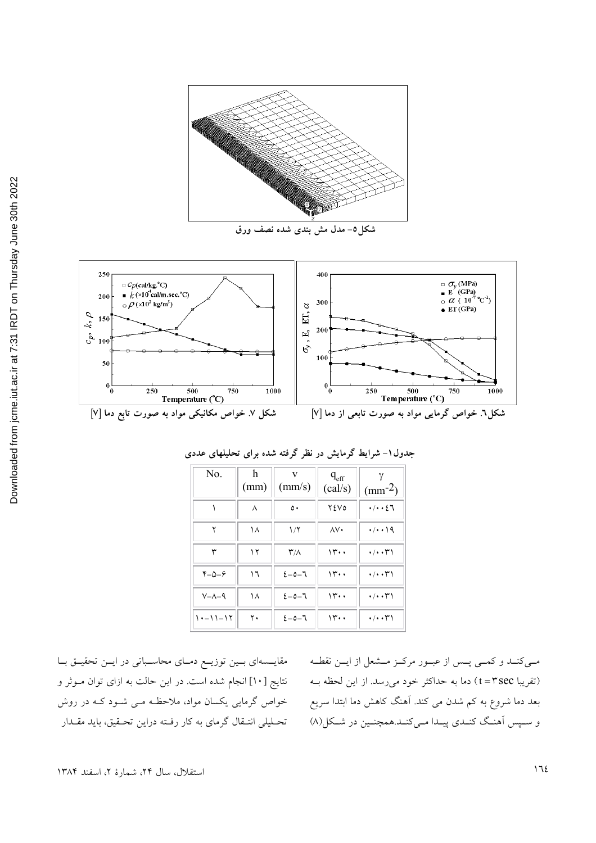



| N <sub>0</sub>    | h<br>(mm) | v<br>(mm/s)         | $q_{\rm eff}$<br>(cal/s) | $(mm^{-2})$                     |
|-------------------|-----------|---------------------|--------------------------|---------------------------------|
|                   | ٨         | ٥.                  | <b>72V0</b>              | $\cdot/\cdot\cdot27$            |
| ۲                 | ۱۸        | 1/7                 | ۸V٠                      | $\cdot/\cdot\cdot$ 19           |
| ٣                 | ۱۲        | $\mathsf{r}_\wedge$ | 14.4                     | $\cdot/\cdot\cdot\tau$          |
| $Y - \Delta - 9$  | ١٦        | $2 - 0 - 7$         | 14.4                     | $\cdot/\cdot\cdot\tau$          |
| $V - \Lambda - 9$ | ١٨        | $2 - 0 - 7$         | 14.4                     | $\cdot/\cdot\cdot\tau\setminus$ |
| $1 - 11 - 17$     | ٢٠        | $2 - 0 - 7$         | 14.4                     | $\cdot/\cdot\cdot\tau$          |

جدول۱- شرایط گرمایش در نظر گرفته شده برای تحلیلهای عددی

مقایسمای بوزیای دمای محاسباتی در ایـن تحقیـق بـا نتايج [ ١٠] انجام شده است. در اين حالت به ازاي توان مـوثر و خواص گرمایی یکسان مواد، ملاحظه مـی شـود کـه در روش تحـلیلی انتـقال گرمای به کار رفـته دراین تحـقیق، باید مقـدار

مبی کنـد و کمـی پـس از عبـور مرکـز مـشعل از ايـن نقطـه (تقریبا t=۳sec) دما به حداکثر خود میرسد. از این لحظه بـه بعد دما شروع به کم شدن می کند. اَهنگ کاهش دما ابتدا سریع و سـپس اَهنـگ کنـدي پيـدا مـيکنـد.همچنـين در شـکل(۸)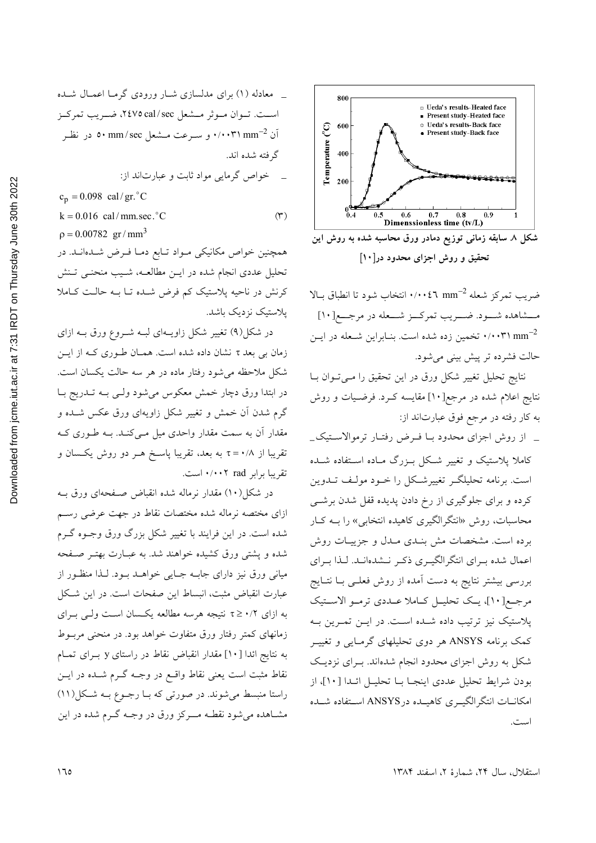\_ معادله (۱) برای مدلسازی شـار ورودی گرمـا اعمـال شـده است. تـوان مـوثر مـشعل ٢٤٧٥ cal/sec، ضـريب تمركـز آن mm<sup>-2،</sup> و سـرعت مـشعل mm/sec در نظـر c۰ mm/sec گر فته شده اند. خواص گرمایی مواد ثابت و عبارتاند از:  $c_n = 0.098$  cal/gr. °C  $k = 0.016$  cal/mm.sec. °C  $(1)$  $\rho = 0.00782 \text{ gr/mm}^3$ 

همچنین خواص مکانیکی مواد تـابع دمـا فـرض شـدهانـد. در تحلیل عددی انجام شده در ایـن مطالعـه، شـیب منحنـی تـنش کرنش در ناحیه پلاستیک کم فرض شده تـا بـه حالـت کـاملا يلاستيك نزديك باشد.

در شکل(۹) تغییر شکل زاویـهای لبـه شـروع ورق بـه ازای زمان بی بعد r نشان داده شده است. همـان طـوری کـه از ایـن شکل ملاحظه می شود رفتار ماده در هر سه حالت یکسان است. در ابتدا ورق دچار خمش معکوس میشود ولـی بـه تــدریج بــا گرم شدن آن خمش و تغییر شکل زاویهای ورق عکس شــده و مقدار آن به سمت مقدار واحدی میل مـیکنـد. بـه طـوری کـه تقریبا از ۰/۸ = <del>r</del> به بعد، تقریبا پاسـخ هــر دو روش یکــسان و تقریبا برابر rad ۲۰۰۲ است.

در شکل(۱۰) مقدار نرماله شده انقباض صـفحهای ورق بـه ازای مختصه نرماله شده مختصات نقاط در جهت عرضی رسم شده است. در این فرایند با تغییر شکل بزرگ ورق وجـوه گـرم شده و یشتی ورق کشیده خواهند شد. به عبـارت بهتـر صـفحه میانی ورق نیز دارای جابـه جـایی خواهــد بــود. لــذا منظــور از عبارت انقباض مثبت، انبساط این صفحات است. در این شکل به ازای ۰/۲ ≤ تا نتیجه هرسه مطالعه یکسان است ولـی بـرای زمانهای کمتر رفتار ورق متفاوت خواهد بود. در منحنی مربـوط به نتايج ائدا [ ١٠] مقدار انقباض نقاط در راستاى y بـراى تمـام نقاط مثبت است یعنی نقاط واقـع در وجـه گــرم شــده در ایــن راستا منبسط می شوند. در صورتی که بـا رجـوع بـه شـکل(١١) مشـاهده می شود نقطـه مـــرکز ورق در وجــه گــرم شده در این



تحقیق و روش اجزای محدود در[۱۰]

ضريب تمركز شعله nm<sup>-2</sup> +/... انتخاب شود تا انطباق بـالا مــشاهده شــود. ضــريب تمركــز شــعله در مرجــع[١٠] ۰/۰۰۳۱ mm<sup>-2</sup> تخمین زده شده است. بنـابراین شـعله در ایـن حالت فشرده تر پیش بینی می شود.

نتايج تحليل تغيير شكل ورق در اين تحقيق را مـيتوان بـا نتایج اعلام شده در مرجع[۱۰] مقایسه کـرد. فرضـیات و روش به كار رفته در مرجع فوق عبارتاند از:

\_ از روش اجزای محدود بـا فـرض رفتـار ترموالاسـتيک\_ کاملا پلاستیک و تغییر شکل بـزرگ مـاده اسـتفاده شـده است. برنامه تحلیلگـر تغییرشـکل را خــود مولـف تــدوین کرده و برای جلوگیری از رخ دادن پدیده قفل شدن برشــی محاسبات، روش «انتگرالگیری کاهیده انتخابی» را بــه کــار برده است. مشخصات مش بنـدي مـدل و جزييـات روش اعمال شده براي انتگرالگيري ذكر نـشدهانـد. لـذا بـراي بررسی بیشتر نتایج به دست آمده از روش فعلـی بــا نتــایج مرجع[١٠]، يك تحليـل كـاملا عـددي ترمـو الاسـتيك پلاستیک نیز ترتیب داده شـده اسـت. در ایــن تمـرین بــه کمک برنامه ANSYS هر دوی تحلیلهای گرمـایی و تغییـر شکل به روش اجزای محدود انجام شدهاند. بـرای نزدیـک بودن شرايط تحليل عددي اينجـا بـا تحليـل ائـدا [١٠]، از امکانــات انتگرالگيــري كاهيــده درANSYS اســتفاده شــده است.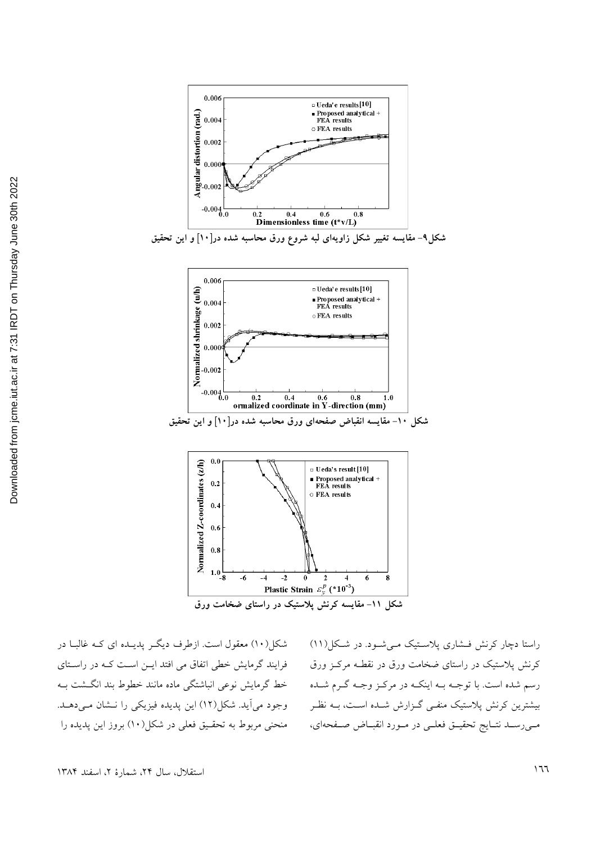

شکل۹– مقایسه تغییر شکل زاویهای لبه شروع ورق محاسبه شده در[۱۰] و این تحقیق





شکل(۱۰) معقول است. ازطرف دیگـر پدیــده ای کــه غالبــا در فرایند گرمایش خطی اتفاق می افتد ایــن اسـت کــه در راسـتای خط گرمایش نوعی انباشتگی ماده مانند خطوط بند انگشت ب وجود مي آيد. شكل(١٢) اين پديده فيزيكي را نـشان مـيدهـد. منحنی مربوط به تحقیق فعلی در شکل(١٠) بروز این پدیده را

راستا دچار کرنش فشاری پلاستیک میشود. در شکل(١١) کرنش پلاستیک در راستای ضخامت ورق در نقطـه مرکـز ورق رسم شده است. با توجــه بــه اینکــه در مرکــز وجــه گــرم شــده بیشترین کرنش پلاستیک منفـی گـزارش شـده اسـت، بــه نظـر مــیرســد نتــايج تحقيــق فعلــی در مــورد انقبــاض صــفحهای،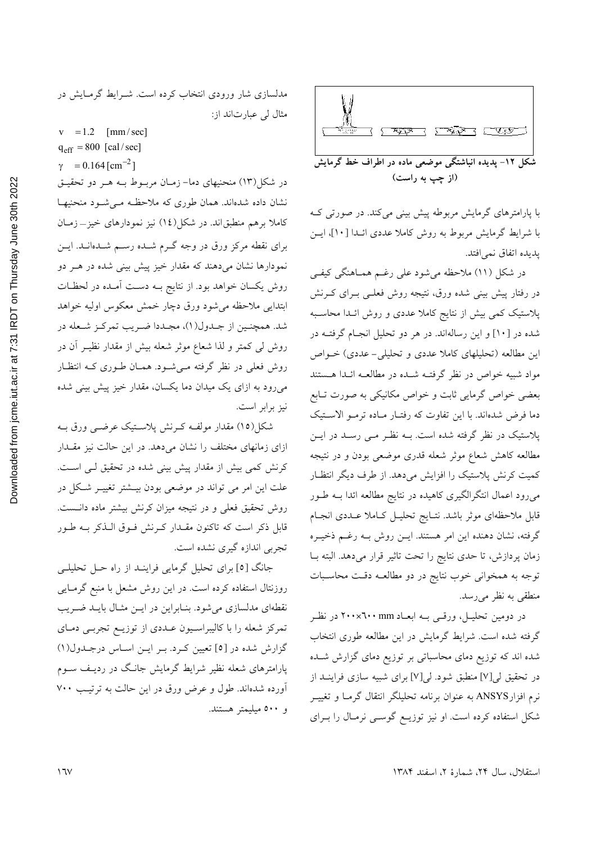

با پارامترهای گرمایش مربوطه پیش بینی میکند. در صورتی ک با شرایط گرمایش مربوط به روش کاملا عددی ائلدا [١٠]، ایسن يديده اتفاق نمي افتد.

در شکل (۱۱) ملاحظه میشود علی رغـم همـاهنگی کیفـی در رفتار پیش بینی شده ورق، نتیجه روش فعلـی بــرای کــرنش پلاستیک کمی بیش از نتایج کاملا عددی و روش ائـدا محاسـبه شده در [۱۰] و این رسالهاند. در هر دو تحلیل انجـام گرفتـه در این مطالعه (تحلیلهای کاملا عددی و تحلیلی-عددی) خــواص مواد شبیه خواص در نظر گرفتـه شـده در مطالعـه ائـدا هـستند بعضی خواص گرمایی ثابت و خواص مکانیکی به صورت تـابع دما فرض شدهاند. با این تفاوت که رفتـار مـاده ترمـو الاسـتیک پلاستیک در نظر گرفته شده است. بـه نظـر مـبی رسـد در ایــن مطالعه کاهش شعاع موثر شعله قدری موضعی بودن و در نتیجه كميت كرنش پلاستيك را افزايش مىدهد. از طرف ديگر انتظـار میرود اعمال انتگرالگیری کاهیده در نتایج مطالعه ائدا بـه طـور قابل ملاحظهای موثر باشد. نتـايج تحليـل كـاملا عـددی انجـام گرفته، نشان دهنده این امر هستند. ایــن روش بــه رغــم ذخیــره زمان پردازش، تا حدى نتايج را تحت تاثير قرار مى دهد. البته بـا توجه به همخوانی خوب نتایج در دو مطالعـه دقـت محاسـبات منطقی به نظر می رسد.

در دومین تحلیـل، ورقــی بــه ابعــاد ۲۰۰×۲۰۰ در نظـر گرفته شده است. شرایط گرمایش در این مطالعه طوری انتخاب شده اند که توزیع دمای محاسباتی بر توزیع دمای گزارش شــده در تحقیق لی[۷] منطبق شود. لی[۷] برای شبیه سازی فراینـد از نرم افزارANSYS به عنوان برنامه تحلیلگر انتقال گرمـا و تغییـر شکل استفاده کرده است. او نیز توزیـع گوســی نرمـال را بــرای

مدلسازی شار ورودی انتخاب کرده است. شـرایط گرمـایش در مثال لی عبارتاند از:

 $v = 1.2$  [mm/sec]  $q_{eff} = 800$  [cal/sec]

 $\gamma = 0.164$  [cm<sup>-2</sup>]

در شکل(۱۳) منحنیهای دما– زمـان مربـوط بـه هـر دو تحقیـق نشان داده شدهاند. همان طوری که ملاحظه مـیشـود منحنیهـا کاملا برهم منطبق|ند. در شکل(١٤) نیز نمودارهای خیز\_زمـان برای نقطه مرکز ورق در وجه گــرم شــده رســم شــدهانــد. ایــن نمودارها نشان م<sub>ی</sub>دهند که مقدار خیز پیش بینی شده در هــر دو روش یکسان خواهد بود. از نتایج بـه دسـت آمـده در لحظـات ابتدايي ملاحظه مىشود ورق دچار خمش معكوس اوليه خواهد شد. همچنـین از جـدول(۱)، مجـددا ضـریب تمرکـز شـعله در روش لی کمتر و لذا شعاع موثر شعله بیش از مقدار نظیـر آن در روش فعلی در نظر گرفته مـیشـود. همـان طـوری کـه انتظـار میرود به ازای یک میدان دما یکسان، مقدار خیز پیش بینی شده نيز برابر است.

شکل(١٥) مقدار مولف کرنش پلاستیک عرضـی ورق بـه ازای زمانهای مختلف را نشان میدهد. در این حالت نیز مقــدار کرنش کمی بیش از مقدار پیش بینی شده در تحقیق لـی اسـت. علت این امر می تواند در موضعی بودن بیـشتر تغییــر شـکل در روش تحقیق فعلی و در نتیجه میزان کرنش بیشتر ماده دانست. قابل ذکر است که تاکنون مقــدار کــرنش فــوق الــذکر بــه طــور تجربي اندازه گيري نشده است.

جانگ [٥] برای تحلیل گرمایی فراینـد از راه حـل تحلیلـی روزنتال استفاده کرده است. در این روش مشعل با منبع گرمـایی نقطهای مدلسازی می شود. بنـابراین در ایـن مثـال بایـد ضـریب تمرکز شعله را با کالیبراسـیون عـددی از توزیـع تجربـی دمـای گزارش شده در [٥] تعیین کرد. بر این اساس درجدول(١) پارامترهای شعله نظیر شرایط گرمایش جانگ در ردیـف ســوم آورده شدهاند. طول و عرض ورق در این حالت به ترتیب ۷۰۰ و ٥٠٠ ميليمتر هستند.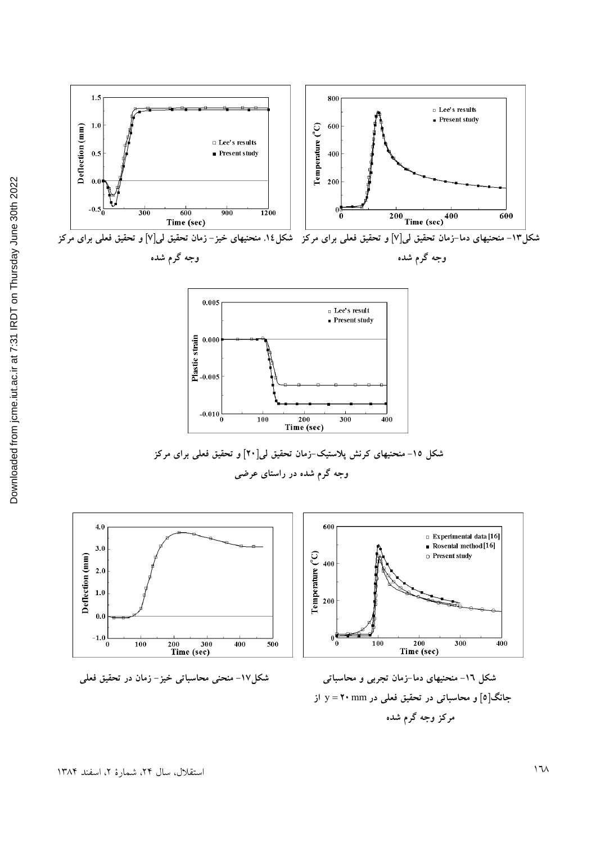

**مرکز وجه گرم شده**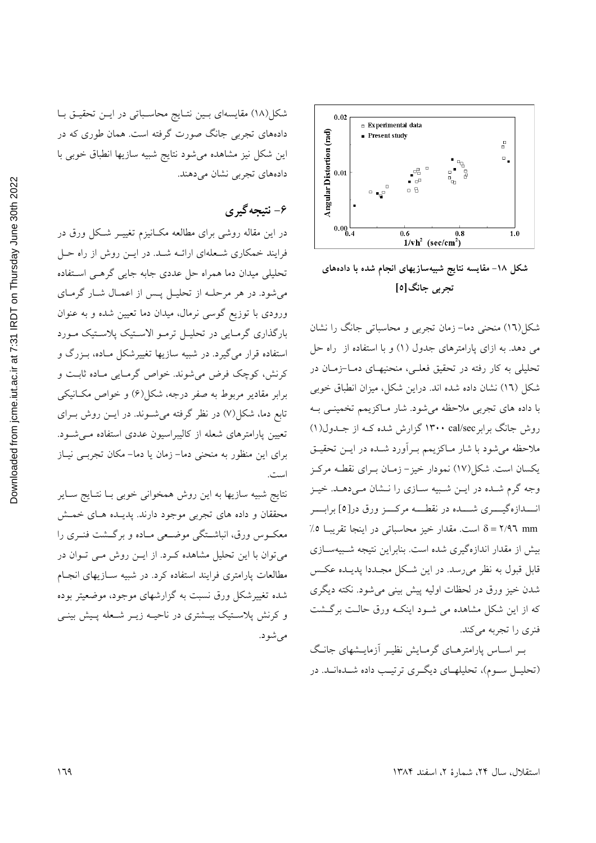

شکل ۱۸– مقایسه نتایج شبیهسازیهای انجام شده با دادههای تجربي جانگ[٥]

شکل(١٦) منحنی دما- زمان تجربی و محاسباتی جانگ را نشان می دهد. به ازای پارامترهای جدول (۱) و با استفاده از راه حل تحلیلی به کار رفته در تحقیق فعلـی، منحنیهـای دمـا-زمـان در شکل (١٦) نشان داده شده اند. دراین شکل، میزان انطباق خوبی با داده های تجربی ملاحظه میشود. شار مـاکزیمم تخمینـی بـه روش جانگ برابر ۱۳۰۰ cal/sec گزارش شده کـه از جـدول(۱) ملاحظه می شود با شار مـاکزیمم بـراَورد شـده در ایــن تحقیـق یکسان است. شکل(۱۷) نمودار خیز – زمـان بـرای نقطـه مرکـز وجه گرم شـده در ايــن شـبيه سـازي را نــشان مـي،دهــد. خيــز انـــدازهگيــــري شــــده در نقطــــه مركـــز ورق در[٥] برابــــر δ = ٢/٩٦ mm قاست. مقدار خيز محاسباتي در اينجا تقريبا ٥٪ بیش از مقدار اندازهگیری شده است. بنابراین نتیجه شـبیهسـازی .<br>قابل قبول به نظر میرسد. در این شکل مجـددا پدیــده عکـس شدن خیز ورق در لحظات اولیه پیش بینی میشود. نکته دیگری که از این شکل مشاهده می شـود اینکـه ورق حالـت برگـشت فنري را تجربه مي كند.

بے اساس پارامترہای گرمایش نظیے آزمایے عانگ (تحلیــل ســوم)، تحلیلهــای دیگــری ترتیــب داده شــدهانــد. در

شکل(۱۸) مقایسهای بین نتایج محاسباتی در این تحقیق با دادههای تجربی جانگ صورت گرفته است. همان طوری که در این شکل نیز مشاهده میشود نتایج شبیه سازیها انطباق خوبی با دادههای تجربی نشان میدهند.

## ۶- نتیجه گیری

در این مقاله روشی برای مطالعه مکـانیزم تغییــر شـکل ورق در فرایند خمکاری شـعلهای ارائــه شــد. در ایــن روش از راه حــل تحلیلی میدان دما همراه حل عددی جابه جایی گرهـی اسـتفاده می شود. در هر مرحلــه از تحليــل يــس از اعمــال شــار گرمــاي ورودی با توزیع گوسی نرمال، میدان دما تعیین شده و به عنوان بارگذاری گرمایی در تحلیل ترمو الاستیک پلاستیک مورد استفاده قرار میگیرد. در شبیه سازیها تغییرشکل مـاده، بـزرگ و کرنش، کوچک فرض می شوند. خواص گرمـایی مـاده ثابـت و برابر مقادیر مربوط به صفر درجه، شکل(۶) و خواص مکـانیکی تابع دما، شکل(۷) در نظر گرفته می شــوند. در ایــن روش بــرای تعیین پارامترهای شعله از کالیبراسیون عددی استفاده مـی شــود. برای این منظور به منحنی دما– زمان یا دما– مکان تجربے نیـاز است.

نتايج شبيه سازيها به اين روش همخواني خوبي بـا نتـايج سـاير محققان و داده های تجربی موجود دارند. پدیـده هـای خمـش معکــوس ورق، انباشــتگی موضــعی مــاده و برگــشت فنــری را میتوان با این تحلیل مشاهده کـرد. از ایــن روش مــی تــوان در مطالعات پارامتری فرایند استفاده کرد. در شبیه ســازیهای انجــام شده تغییرشکل ورق نسبت به گزارشهای موجود، موضعیتر بوده و کرنش پلاستیک بیـشتری در ناحیـه زیــر شـعله پـیش بینــی مې شو د.